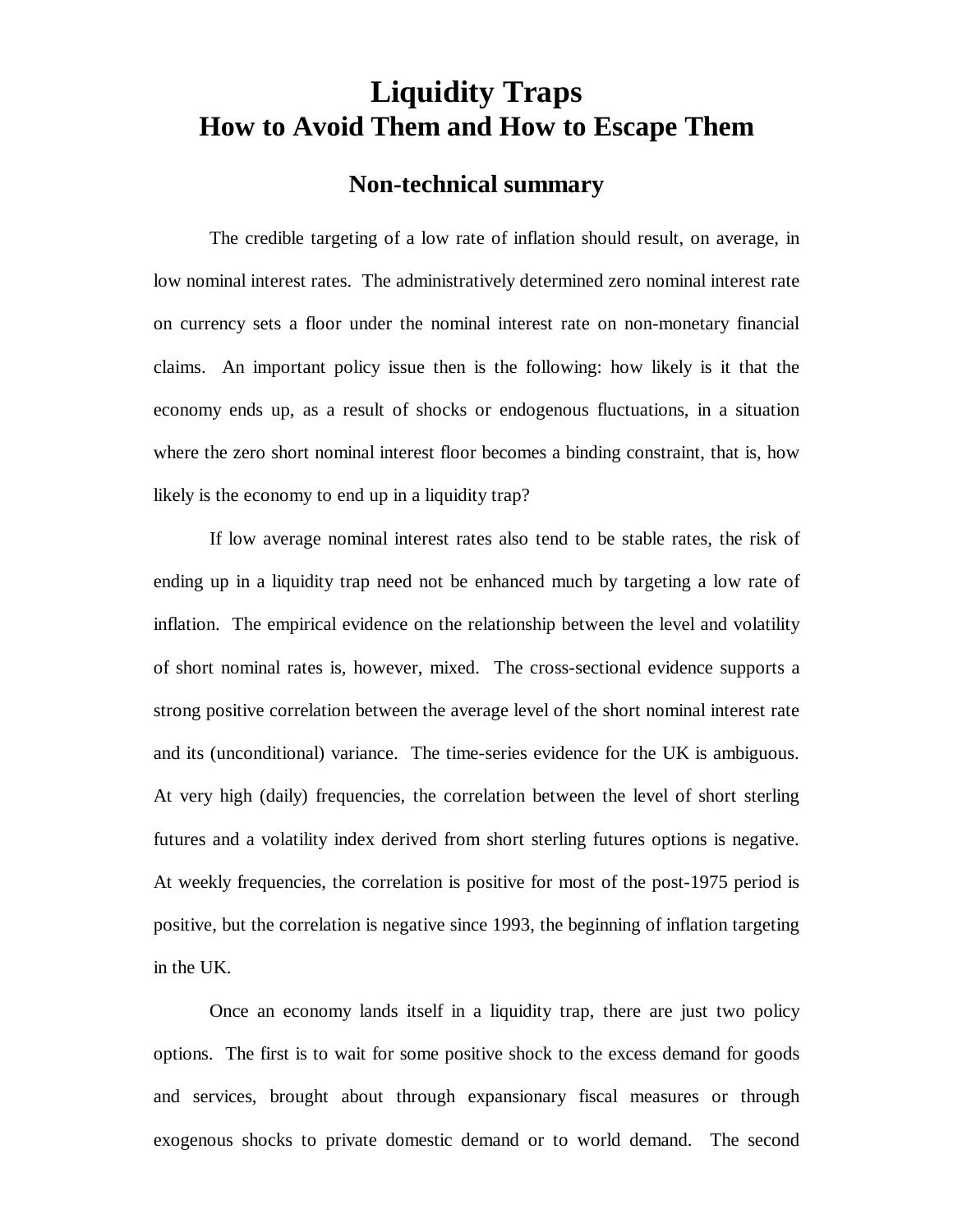## **Liquidity Traps How to Avoid Them and How to Escape Them**

## **Non-technical summary**

The credible targeting of a low rate of inflation should result, on average, in low nominal interest rates. The administratively determined zero nominal interest rate on currency sets a floor under the nominal interest rate on non-monetary financial claims. An important policy issue then is the following: how likely is it that the economy ends up, as a result of shocks or endogenous fluctuations, in a situation where the zero short nominal interest floor becomes a binding constraint, that is, how likely is the economy to end up in a liquidity trap?

If low average nominal interest rates also tend to be stable rates, the risk of ending up in a liquidity trap need not be enhanced much by targeting a low rate of inflation. The empirical evidence on the relationship between the level and volatility of short nominal rates is, however, mixed. The cross-sectional evidence supports a strong positive correlation between the average level of the short nominal interest rate and its (unconditional) variance. The time-series evidence for the UK is ambiguous. At very high (daily) frequencies, the correlation between the level of short sterling futures and a volatility index derived from short sterling futures options is negative. At weekly frequencies, the correlation is positive for most of the post-1975 period is positive, but the correlation is negative since 1993, the beginning of inflation targeting in the UK.

Once an economy lands itself in a liquidity trap, there are just two policy options. The first is to wait for some positive shock to the excess demand for goods and services, brought about through expansionary fiscal measures or through exogenous shocks to private domestic demand or to world demand. The second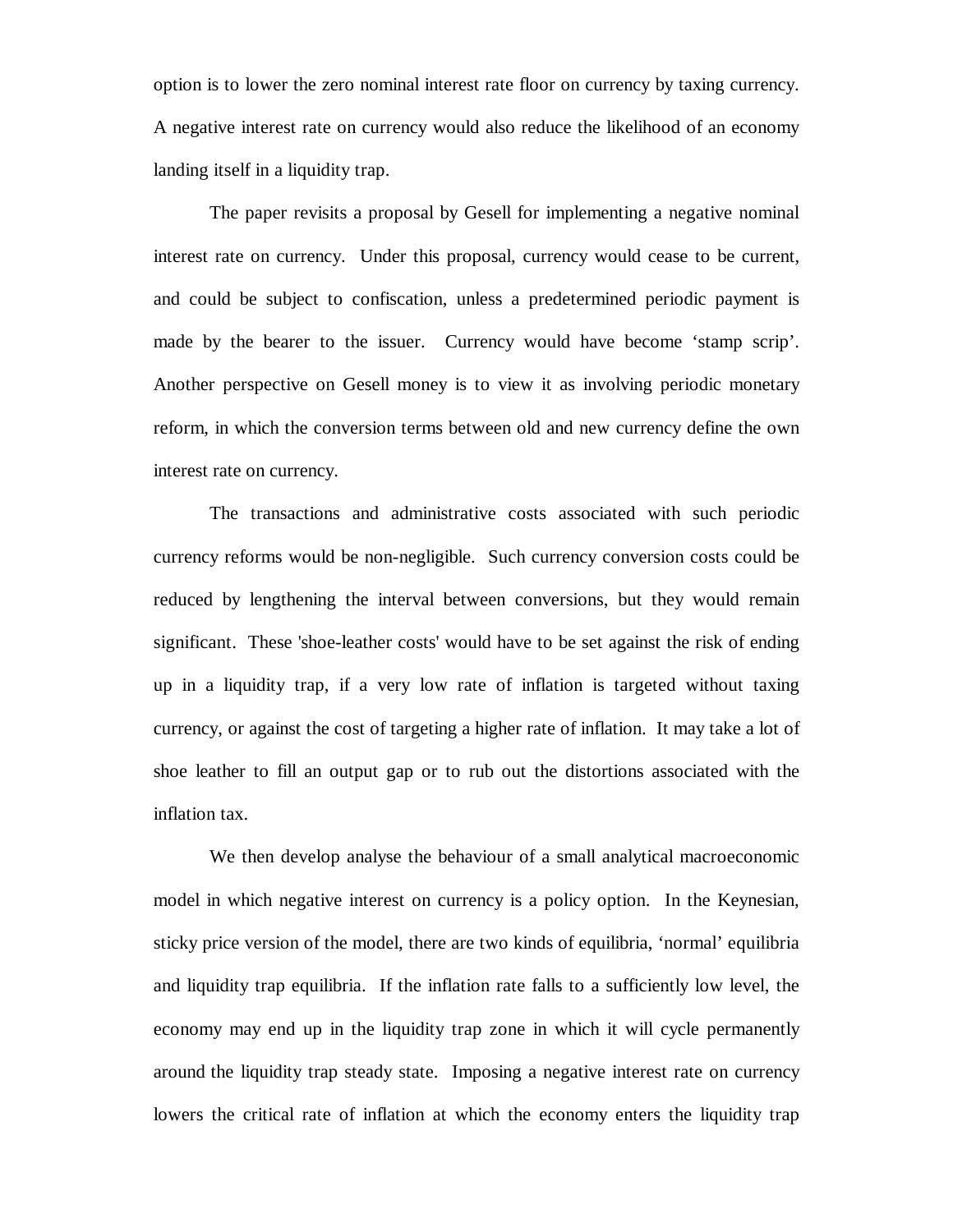option is to lower the zero nominal interest rate floor on currency by taxing currency. A negative interest rate on currency would also reduce the likelihood of an economy landing itself in a liquidity trap.

The paper revisits a proposal by Gesell for implementing a negative nominal interest rate on currency. Under this proposal, currency would cease to be current, and could be subject to confiscation, unless a predetermined periodic payment is made by the bearer to the issuer. Currency would have become 'stamp scrip'. Another perspective on Gesell money is to view it as involving periodic monetary reform, in which the conversion terms between old and new currency define the own interest rate on currency.

The transactions and administrative costs associated with such periodic currency reforms would be non-negligible. Such currency conversion costs could be reduced by lengthening the interval between conversions, but they would remain significant. These 'shoe-leather costs' would have to be set against the risk of ending up in a liquidity trap, if a very low rate of inflation is targeted without taxing currency, or against the cost of targeting a higher rate of inflation. It may take a lot of shoe leather to fill an output gap or to rub out the distortions associated with the inflation tax.

We then develop analyse the behaviour of a small analytical macroeconomic model in which negative interest on currency is a policy option. In the Keynesian, sticky price version of the model, there are two kinds of equilibria, 'normal' equilibria and liquidity trap equilibria. If the inflation rate falls to a sufficiently low level, the economy may end up in the liquidity trap zone in which it will cycle permanently around the liquidity trap steady state. Imposing a negative interest rate on currency lowers the critical rate of inflation at which the economy enters the liquidity trap